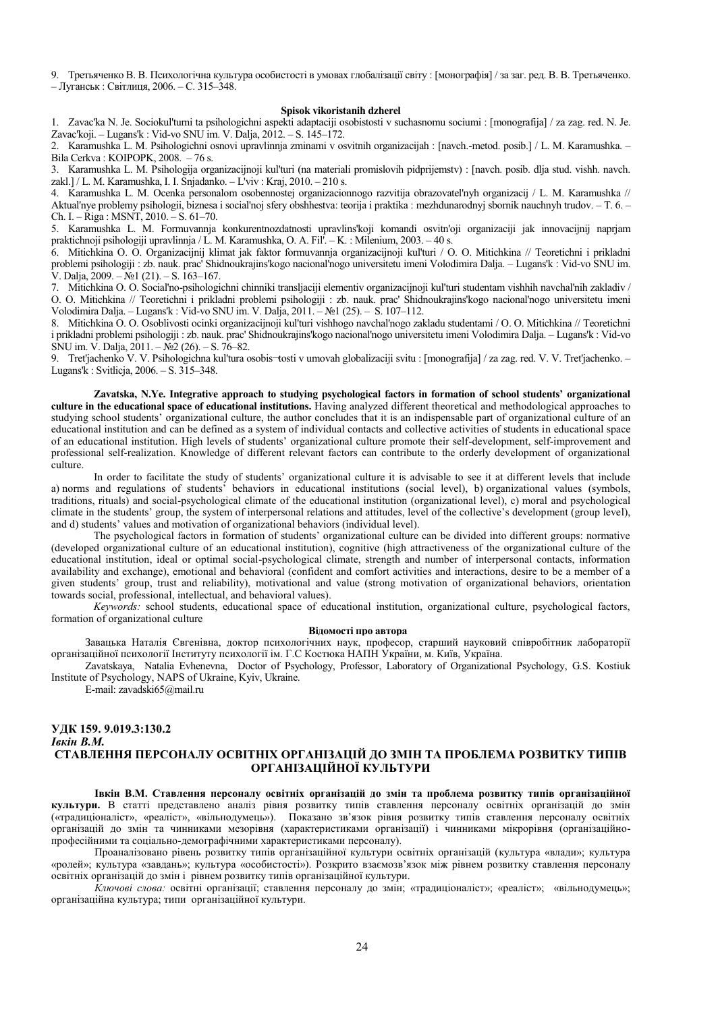9. Третьяченко В. В. Психологічна культура особистості в умовах глобалізації світу: [монографія] / за заг. рел. В. В. Третьяченко. - Луганськ: Світлиця, 2006. - С. 315-348.

#### **Spisok vikoristanih dzherel**

1. Zavac'ka N. Je. Sociokul'turni ta psihologichni aspekti adaptaciji osobistosti v suchasnomu sociumi : [monografija] / za zag. red. N. Je. Zavac'koji. - Lugans'k : Vid-vo SNU im. V. Dalja, 2012. - S. 145-172.

2. Karamushka L. M. Psihologichni osnovi upravlinnja zminami v osvitnih organizacijah : [navch.-metod. posib.] / L. M. Karamushka. -Bila Cerkva: KOIPOPK, 2008. - 76 s.

3. Karamushka L. M. Psihologija organizacijnoji kul'turi (na materiali promislovih pidprijemstv) : [navch. posib. dlja stud. vishh. navch. zakl.] / L. M. Karamushka, I. I. Snjadanko. – L'viv : Kraj, 2010. – 210 s.

4. Karamushka L. M. Ocenka personalom osobennostej organizacionnogo razvitija obrazovatel'nyh organizacij / L. M. Karamushka // Aktual'nye problemy psihologii, biznesa i social'noj sfery obshhestva: teorija i praktika : mezhdunarodnyj sbornik nauchnyh trudov. - T. 6. -Ch. I.  $-$  Riga : MSNT, 2010.  $-$  S. 61–70.

5. Karamushka L. M. Formuvannja konkurentnozdatnosti upravlins'koji komandi osvitn'oji organizaciji jak innovacijnij naprjam praktichnoji psihologiji upravlinnja / L. M. Karamushka, O. A. Fil'. – K. : Milenium, 2003. – 40 s.

6. Mitichkina O. O. Organizacijnij klimat jak faktor formuvannja organizacijnoji kul'turi / O. O. Mitichkina // Teoretichni i prikladni problemi psihologiji : zb. nauk. prac' Shidnoukrajins'kogo nacional'nogo universitetu imeni Volodimira Dalja. – Lugans'k : Vid-vo SNU im. V. Dalja, 2009. – No $1(21)$ . – S. 163–167.

7. Mitichkina O. O. Social'no-psihologichni chinniki transljaciji elementiv organizacijnoji kul'turi studentam vishhih navchal'nih zakladiv / O. O. Mitichkina // Teoretichni i prikladni problemi psihologiji : zb. nauk. prac' Shidnoukrajins'kogo nacional'nogo universitetu imeni Volodimira Dalja. - Lugans'k : Vid-vo SNU im. V. Dalja, 2011. - Nº1 (25). - S. 107-112.

8. Mitichkina O. O. Osoblivosti ocinki organizacijnoji kul'turi vishhogo navchal'nogo zakladu studentami / O. O. Mitichkina // Teoretichni i prikladni problemi psihologiji : zb. nauk. prac' Shidnoukrajins'kogo nacional'nogo universitetu imeni Volodimira Dalja. – Lugans'k : Vid-vo SNU im. V. Dalja,  $2011. - N<sub>2</sub>2$  (26). - S. 76-82.

9. Tret'jachenko V. V. Psihologichna kul'tura osobis-tosti v umovah globalizaciji svitu : [monografija] / za zag. red. V. V. Tret'jachenko. -Lugans'k : Svitlicja, 2006. – S. 315–348.

Zavatska, N.Ye. Integrative approach to studying psychological factors in formation of school students' organizational **culture in the educational space of educational institutions.** Having analyzed different theoretical and methodological approaches to studying school students' organizational culture, the author concludes that it is an indispensable part of organizational culture of an educational institution and can be defined as a system of individual contacts and collective activities of students in educational space of an educational institution. High levels of students' organizational culture promote their self-development, self-improvement and professional self-realization. Knowledge of different relevant factors can contribute to the orderly development of organizational culture.

In order to facilitate the study of students' organizational culture it is advisable to see it at different levels that include a) norms and regulations of students' behaviors in educational institutions (social level), b) organizational values (symbols, traditions, rituals) and social-psychological climate of the educational institution (organizational level), c) moral and psychological climate in the students' group, the system of interpersonal relations and attitudes, level of the collective's development (group level). and d) students' values and motivation of organizational behaviors (individual level).

The psychological factors in formation of students' organizational culture can be divided into different groups: normative (developed organizational culture of an educational institution), cognitive (high attractiveness of the organizational culture of the educational institution, ideal or optimal social-psychological climate, strength and number of interpersonal contacts, information availability and exchange), emotional and behavioral (confident and comfort activities and interactions, desire to be a member of a given students' group, trust and reliability), motivational and value (strong motivation of organizational behaviors, orientation towards social, professional, intellectual, and behavioral values).

 *Keywords:* school students, educational space of educational institution, organizational culture, psychological factors, formation of organizational culture

### **Відомості про автора**

Завацька Наталія Євгенівна, доктор психологічних наук, професор, старший науковий співробітник лабораторії організаційної психології Інституту психології ім. Г.С Костюка НАПН України, м. Київ, Україна.

Zavatskaya, Natalia Evhenevna, Doctor of Psychology, Professor, Laboratory of Organizational Psychology, G.S. Kostiuk Institute of Psychology, NAPS of Ukraine, Kyiv, Ukraine.

E-mail: zavadski65@mail.ru

### **ɍȾɄ159. 9.019.3:130.2**  *I*вкін В.М. СТАВЛЕННЯ ПЕРСОНАЛУ ОСВІТНІХ ОРГАНІЗАЦІЙ ДО ЗМІН ТА ПРОБЛЕМА РОЗВИТКУ ТИПІВ ОРГАНІЗАЦІЙНОЇ КУЛЬТУРИ

**Івкін В.М. Ставлення персоналу освітніх організацій до змін та проблема розвитку типів організаційної** культури. В статті представлено аналіз рівня розвитку типів ставлення персоналу освітніх організацій до змін («традиціоналіст», «реаліст», «вільнодумець»). Показано зв'язок рівня розвитку типів ставлення персоналу освітніх організацій до змін та чинниками мезорівня (характеристиками організації) і чинниками мікрорівня (організаційнопрофесійними та соціально-демографічними характеристиками персоналу).

Проаналізовано рівень розвитку типів організаційної культури освітніх організацій (культура «влади»; культура «ролей»; культура «завдань»; культура «особистості»). Розкрито взаємозв'язок між рівнем розвитку ставлення персоналу освітніх організацій до змін і рівнем розвитку типів організаційної культури.

ү<br>Ключові слова: освітні організації; ставлення персоналу до змін; «традиціоналіст»; «реаліст»; «вільнодумець»; організаційна культура; типи організаційної культури.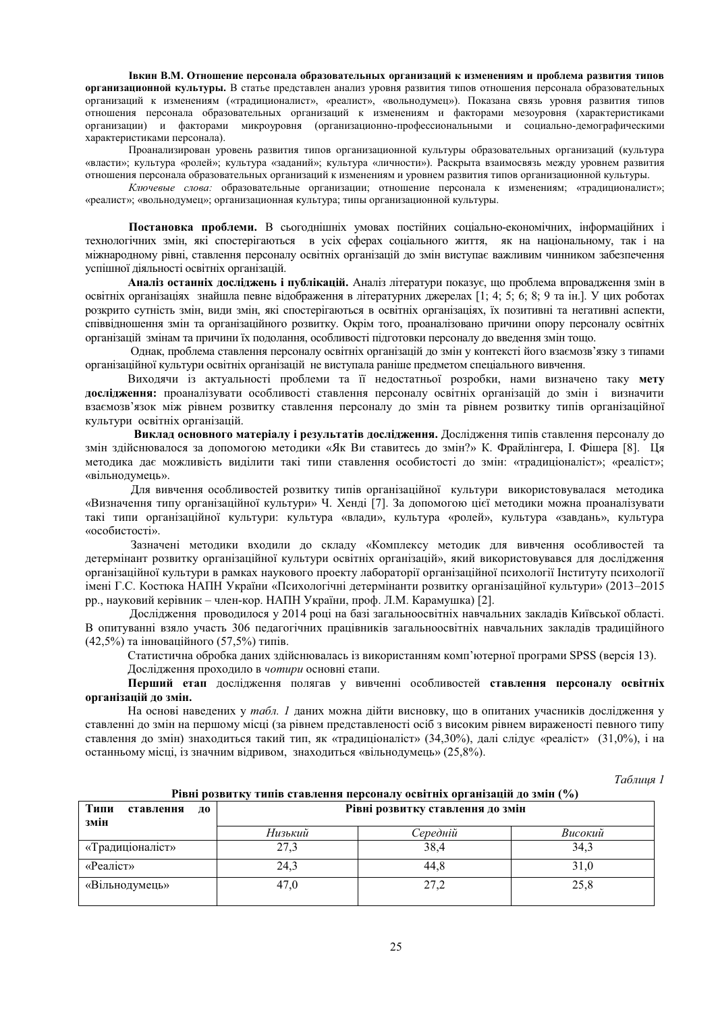# Iвкин В.М. Отношение персонала образовательных организаций к изменениям и проблема развития типов **организационной культуры.** В статье представлен анализ уровня развития типов отношения персонала образовательных

организаций к изменениям («традиционалист», «реалист», «вольнодумец»). Показана связь уровня развития типов • отношения персонала образовательных организаций к изменениям и факторами мезоуровня (характеристиками организации) и факторами микроуровня (организационно-профессиональными и социально-демографическими характеристиками персонала).

Проанализирован уровень развития типов организационной культуры образовательных организаций (культура «власти»; культура «ролей»; культура «заданий»; культура «личности»). Раскрыта взаимосвязь между уровнем развития отношения персонала образовательных организаций к изменениям и уровнем развития типов организационной культуры.

Ключевые слова: образовательные организации; отношение персонала к изменениям; «традиционалист»; «реалист»; «вольнодумец»; организационная культура; типы организационной культуры.

Постановка проблеми. В сьогоднішніх умовах постійних соціально-економічних, інформаційних і технологічних змін, які спостерігаються в усіх сферах соціального життя, як на національному, так і на міжнародному рівні, ставлення персоналу освітніх організацій до змін виступає важливим чинником забезпечення успішної діяльності освітніх організацій.

Аналіз останніх досліджень і публікацій. Аналіз літератури показує, що проблема впровадження змін в освітніх організаціях знайшла певне відображення в літературних джерелах [1; 4; 5; 6; 8; 9 та ін.]. У цих роботах розкрито сутність змін, види змін, які спостерігаються в освітніх організаціях, їх позитивні та негативні аспекти, співвілношення змін та організаційного розвитку. Окрім того, проаналізовано причини опору персоналу освітніх організацій змінам та причини їх пололання, особливості пілготовки персоналу ло ввелення змін тощо.

Однак, проблема ставлення персоналу освітніх організацій до змін у контексті його взаємозв'язку з типами організаційної культури освітніх організацій не виступала раніше предметом спеціального вивчення.

Виходячи із актуальності проблеми та її недостатньої розробки, нами визначено таку мету дослідження: проаналізувати особливості ставлення персоналу освітніх організацій до змін і визначити взаємозв'язок між рівнем розвитку ставлення персоналу до змін та рівнем розвитку типів організаційної культури освітніх організацій.

Виклад основного матеріалу і результатів дослідження. Дослідження типів ставлення персоналу до змін здійснювалося за допомогою методики «Як Ви ставитесь до змін?» К. Фрайлінгера, І. Фішера [8]. Ця методика дає можливість виділити такі типи ставлення особистості до змін: «традиціоналіст»; «реаліст»; «вільнолумець».

Для вивчення особливостей розвитку типів організаційної культури використовувалася методика «Визначення типу організаційної культури» Ч. Хенді [7]. За допомогою цієї методики можна проаналізувати такі типи організаційної культури: культура «влади», культура «ролей», культура «завдань», культура «особистості».

Зазначені методики входили до складу «Комплексу методик для вивчення особливостей та детермінант розвитку організаційної культури освітніх організацій», який використовувався для дослідження організаційної культури в рамках наукового проекту лабораторії організаційної психології Інституту психології імені Г.С. Костюка НАПН України «Психологічні детермінанти розвитку організаційної культури» (2013–2015 рр., науковий керівник – член-кор. НАПН України, проф. Л.М. Карамушка) [2].

Лослілження проволилося у 2014 році на базі загальноосвітніх навчальних заклалів Київської області. В опитуванні взяло участь 306 педагогічних працівників загальноосвітніх навчальних закладів традиційного  $(42,5%)$  та інноваційного  $(57,5%)$  типів.

Статистична обробка даних здійснювалась із використанням комп'ютерної програми SPSS (версія 13). Дослідження проходило в чотири основні етапи.

Перший етап дослідження полягав у вивченні особливостей **ставлення персоналу освітніх організацій до змін.** 

На основі наведених у *табл*. 1 даних можна дійти висновку, що в опитаних учасників дослідження у ставленні до змін на першому місці (за рівнем представленості осіб з високим рівнем вираженості певного типу ставлення до змін) знаходиться такий тип, як «традиціоналіст» (34,30%), далі слідує «реаліст» (31,0%), і на останньому місці, із значним відривом, знаходиться «вільнодумець» (25,8%).

 $Ta6nuy21$ 

| Рівні розвитку типів ставлення персоналу освітніх організацій до змін (%) |                                  |          |         |  |
|---------------------------------------------------------------------------|----------------------------------|----------|---------|--|
| Типи<br>ставлення<br>ДО                                                   | Рівні розвитку ставлення до змін |          |         |  |
| змін                                                                      | Низький                          | Середній | Високий |  |
| «Традиціоналіст»                                                          | 27,3                             | 38,4     | 34,3    |  |
| «Реаліст»                                                                 | 24,3                             | 44.8     | 31,0    |  |
| «Вільнодумець»                                                            | 47,0                             | 27,2     | 25,8    |  |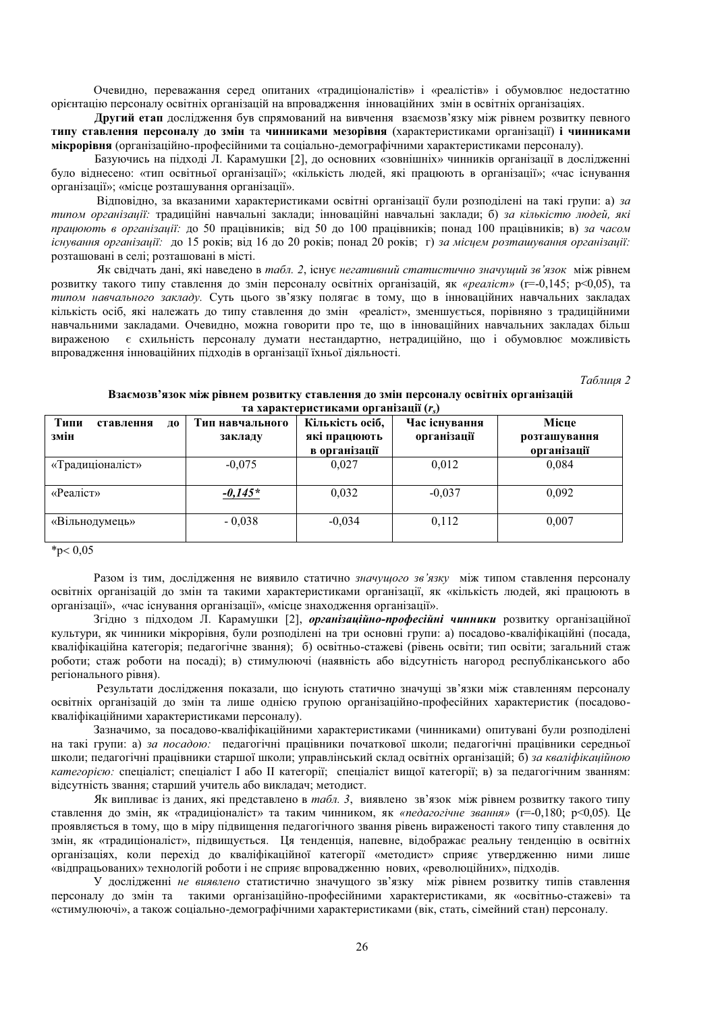Очевидно, переважання серед опитаних «традиціоналістів» і «реалістів» і обумовлює недостатню орієнтацію персоналу освітніх організацій на впровадження інноваційних змін в освітніх організаціях.

**Другий етап** дослідження був спрямований на вивчення взаємозв'язку між рівнем розвитку певного **ТИПУ СТАВЛЕННЯ ПЕРСОНАЛУ ЛО ЗМІН ТА ЧИННИКАМИ МЕЗОРІВНЯ** (ХАРАКТЕРИСТИКАМИ ОРГАНІЗАЦІЇ) **і ЧИННИКАМИ мікрорівня** (організаційно-професійними та соціально-демографічними характеристиками персоналу).

Базуючись на підході Л. Карамушки [2], до основних «зовнішніх» чинників організації в дослідженні було віднесено: «тип освітньої організації»; «кількість людей, які працюють в організації»; «час існування організації»; «місце розташування організації».

Відповідно, за вказаними характеристиками освітні організації були розподілені на такі групи: а) за типом організації: традиційні навчальні заклади; інноваційні навчальні заклади; б) за кількістю людей, які *працюють в організації:* до 50 працівників; від 50 до 100 працівників; понад 100 працівників; в) за часом iснування організації: до 15 років; від 16 до 20 років; понад 20 років; г) за місцем розташування організації: розташовані в селі; розташовані в місті.

Як свідчать дані, які наведено в *табл. 2*, існує негативний статистично значущий зв'язок між рівнем розвитку такого типу ставлення до змін персоналу освітніх організацій, як «*реаліст»* (r=-0,145; p<0,05), та типом навчального закладу. Суть цього зв'язку полягає в тому, що в інноваційних навчальних закладах кількість осіб, які належать до типу ставлення до змін «реаліст», зменшується, порівняно з традиційними навчальними закладами. Очевидно, можна говорити про те, що в інноваційних навчальних закладах більш вираженою є схильність персоналу думати нестандартно, нетрадиційно, що і обумовлює можливість **впровадження інноваційних підходів в організації їхньої діяльності.** 

*Таблиия* 2

| Типи<br>ставлення<br>ДО<br>змін | Тип навчального<br>закладу | Кількість осіб,<br>які працюють<br>в організації | Час існування<br>організації | Місце<br>розташування<br>організації |
|---------------------------------|----------------------------|--------------------------------------------------|------------------------------|--------------------------------------|
| «Традиціоналіст»                | $-0,075$                   | 0,027                                            | 0,012                        | 0.084                                |
| «Реаліст»                       | $-0.145*$                  | 0.032                                            | $-0,037$                     | 0.092                                |
| «Вільнодумець»                  | $-0.038$                   | $-0,034$                                         | 0,112                        | 0,007                                |

#### Взаємозв'язок між рівнем розвитку ставлення до змін персоналу освітніх організацій **ɬɚɯɚɪɚɤɬɟɪɢɫɬɢɤɚɦɢɨɪɝɚɧɿɡɚɰɿʀ***rs***)**

 $*_{p < 0.05}$ 

Разом із тим, дослідження не виявило статично значущого зв'язку між типом ставлення персоналу освітніх організацій до змін та такими характеристиками організації, як «кількість людей, які працюють в організації», «час існування організації», «місце знаходження організації».

Згідно з підходом Л. Карамушки [2], організаційно-професійні чинники розвитку організаційної культури, як чинники мікрорівня, були розподілені на три основні групи: а) посадово-кваліфікаційні (посада, кваліфікаційна категорія; педагогічне звання); б) освітньо-стажеві (рівень освіти; тип освіти; загальний стаж роботи; стаж роботи на посаді); в) стимулюючі (наявність або відсутність нагород республіканського або регіонального рівня).

Результати дослідження показали, що існують статично значущі зв'язки між ставленням персоналу освітніх організацій до змін та лише однією групою організаційно-професійних характеристик (посадовокваліфікаційними характеристиками персоналу).

Зазначимо, за посадово-кваліфікаційними характеристиками (чинниками) опитувані були розподілені на такі групи: а) *за посадою*: педагогічні працівники початкової школи; педагогічні працівники середньої школи; педагогічні працівники старшої школи; управлінський склад освітніх організацій; б) за кваліфікаційною *категорією:* спеціаліст; спеціаліст I або II категорії; спеціаліст вищої категорії; в) за педагогічним званням: відсутність звання; старший учитель або викладач; методист.

 $A$ к випливає із даних, які представлено в *табл*. З, виявлено зв'язок між рівнем розвитку такого типу ставлення до змін, як «традиціоналіст» та таким чинником, як «педагогічне звання» (r=-0,180; p<0,05). Це проявляється в тому, що в міру підвищення педагогічного звання рівень вираженості такого типу ставлення до змін, як «традиціоналіст», підвищується. Ця тенденція, напевне, відображає реальну тенденцію в освітніх організаціях, коли перехід до кваліфікаційної категорії «методист» сприяє утвердженню ними лише «відпрацьованих» технологій роботи і не сприяє впровадженню нових, «революційних», підходів.

У дослідженні не виявлено статистично значущого зв'язку між рівнем розвитку типів ставлення персоналу до змін та такими організаційно-професійними характеристиками, як «освітньо-стажеві» та «стимулюючі», а також соціально-демографічними характеристиками (вік, стать, сімейний стан) персоналу.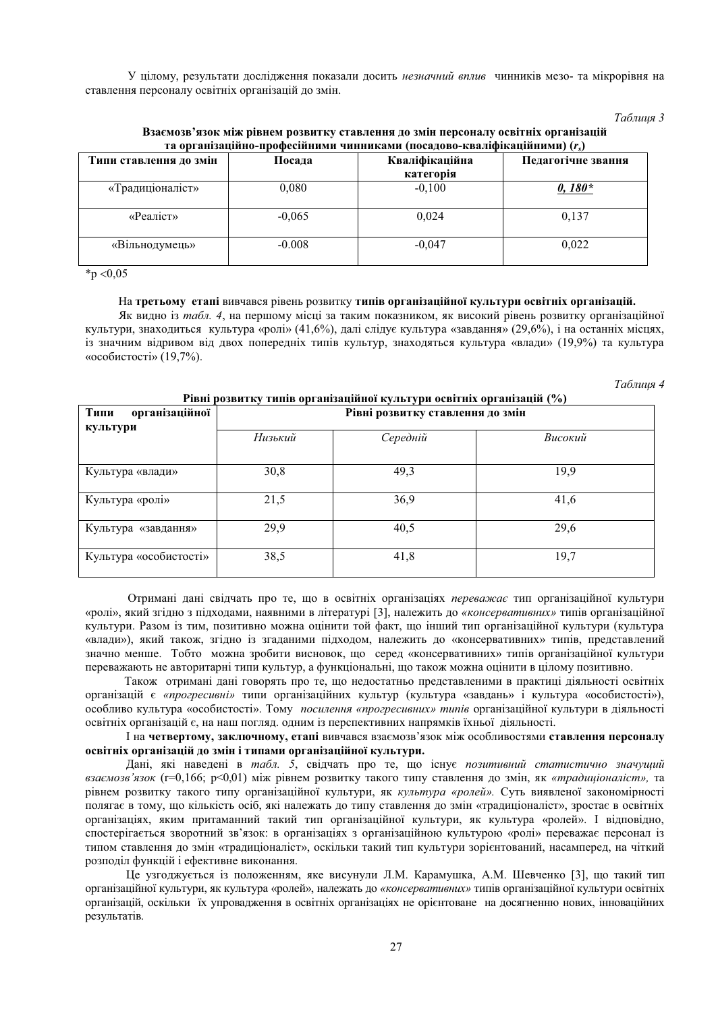У цілому, результати дослідження показали досить незначний вплив чинників мезо- та мікрорівня на ставлення персоналу освітніх організацій до змін.

#### *Таблиия 3*

| та організаційно-професійними зипниками (посадоро-краліфікаційними) (г $\eta$ |                          |           |                    |  |
|-------------------------------------------------------------------------------|--------------------------|-----------|--------------------|--|
| Типи ставлення до змін                                                        | Кваліфікаційна<br>Посада |           | Педагогічне звання |  |
|                                                                               |                          | категорія |                    |  |
| «Традиціоналіст»                                                              | 0,080                    | $-0.100$  | $0,180*$           |  |
| «Реаліст»                                                                     | $-0.065$                 | 0.024     | 0.137              |  |
| «Вільнодумець»                                                                | $-0.008$                 | $-0.047$  | 0.022              |  |

Взаємозв'язок між рівнем розвитку ставлення до змін персоналу освітніх організацій **ɬɚɨɪɝɚɧɿɡɚɰɿɣɧɨ-ɩɪɨɮɟɫɿɣɧɢɦɢɱɢɧɧɢɤɚɦɢ ɩɨɫɚɞɨɜɨ-ɤɜɚɥɿɮɿɤɚɰɿɣɧɢɦɢ***rs***)** 

 $*_{p < 0.05}$ 

# На третьому етапі вивчався рівень розвитку типів організаційної культури освітніх організацій.

Як видно із табл. 4, на першому місці за таким показником, як високий рівень розвитку організаційної культури, знаходиться культура «ролі» (41,6%), далі слідує культура «завдання» (29,6%), і на останніх місцях, із значним відривом від двох попередніх типів культур, знаходяться культура «влади» (19,9%) та культура «особистості» (19,7%).

**Ɋɿɜɧɿɪɨɡɜɢɬɤɭɬɢɩɿɜɨɪɝɚɧɿɡɚɰɿɣɧɨʀɤɭɥɶɬɭɪɢɨɫɜɿɬɧɿɯɨɪɝɚɧɿɡɚɰɿɣ (%)** 

**Таблиия 4** 

| гівні розвитку типів організаційної культури освітніх організацій (70) |                                  |          |         |  |
|------------------------------------------------------------------------|----------------------------------|----------|---------|--|
| організаційної<br>Типи                                                 | Рівні розвитку ставлення до змін |          |         |  |
| культури                                                               |                                  |          |         |  |
|                                                                        | Низький                          | Середній | Високий |  |
|                                                                        |                                  |          |         |  |
| Культура «влади»                                                       | 30,8                             | 49,3     | 19,9    |  |
| Культура «ролі»                                                        | 21,5                             | 36,9     | 41,6    |  |
| Культура «завдання»                                                    | 29,9                             | 40,5     | 29,6    |  |
| Культура «особистості»                                                 | 38,5                             | 41,8     | 19,7    |  |

Отримані дані свідчать про те, що в освітніх організаціях переважає тип організаційної культури «ролі», який згідно з підходами, наявними в літературі [3], належить до «консервативних» типів організаційної культури. Разом із тим, позитивно можна оцінити той факт, що інший тип організаційної культури (культура «влади»), який також, згідно із згаданими підходом, належить до «консервативних» типів, представлений значно менше. Тобто можна зробити висновок, що серед «консервативних» типів організаційної культури переважають не авторитарні типи культур, а функціональні, що також можна оцінити в цілому позитивно.

Також отримані дані говорять про те, що недостатньо представленими в практиці діяльності освітніх організацій є «прогресивні» типи організаційних культур (культура «завдань» і культура «особистості»), особливо культура «особистості». Тому посилення «прогресивних» типів організаційної культури в діяльності освітніх організацій є, на наш погляд. одним із перспективних напрямків їхньої діяльності.

I на четвертому, заключному, етапі вивчався взаємозв'язок між особливостями ставлення персоналу **освітніх організацій до змін і типами організаційної культури.** 

Дані, які наведені в *табл. 5*, свідчать про те, що існує позитивний статистично значущий взаємозв'язок (r=0,166; p<0,01) між рівнем розвитку такого типу ставлення до змін, як «традиціоналіст», та рівнем розвитку такого типу організаційної культури, як культура «ролей». Суть виявленої закономірності полягає в тому, що кількість осіб, які належать до типу ставлення до змін «традиціоналіст», зростає в освітніх організаціях, яким притаманний такий тип організаційної культури, як культура «ролей». І відповідно, спостерігається зворотний зв'язок: в організаціях з організаційною культурою «ролі» переважає персонал із типом ставлення до змін «традиціоналіст», оскільки такий тип культури зорієнтований, насамперед, на чіткий розподіл функцій і ефективне виконання.

Це узгоджується із положенням, яке висунули Л.М. Карамушка, А.М. Шевченко [3], що такий тип організаційної культури, як культура «ролей», належать до «консервативних» типів організаційної культури освітніх організацій, оскільки їх упровадження в освітніх організаціях не орієнтоване на досягненню нових, інноваційних результатів.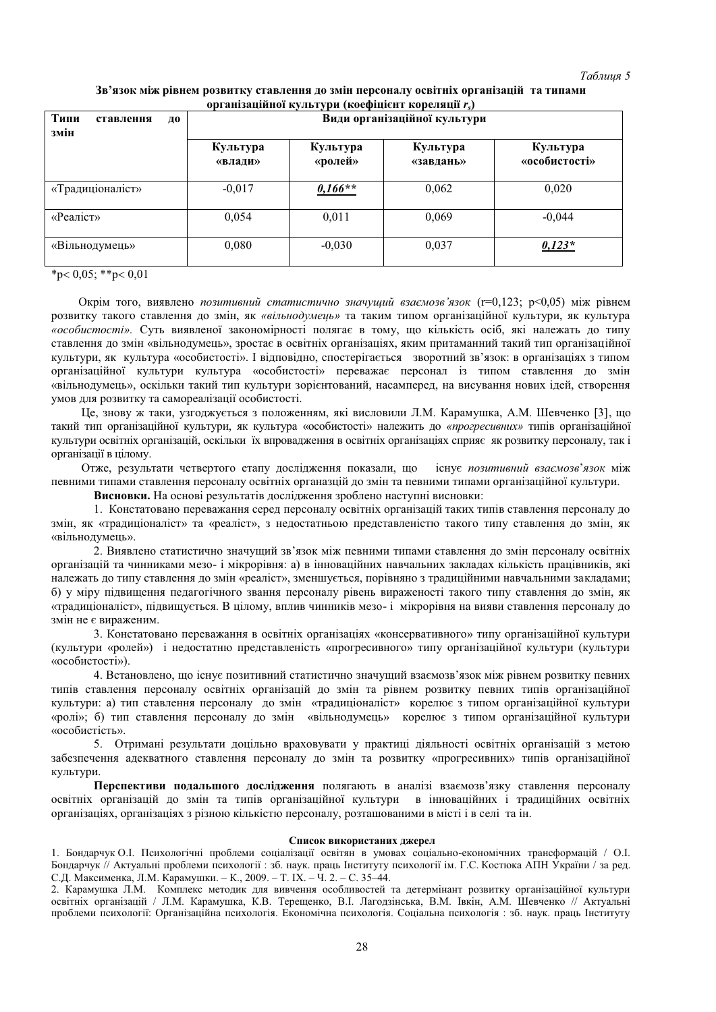# Зв'язок між рівнем розвитку ставлення до змін персоналу освітніх організацій та типами **koprahiзанійної культури (коефінієнт корелянії г.)**

| Типи<br>ставлення<br>ДО<br>змін |                     | Види організаційної культури |                       |                           |
|---------------------------------|---------------------|------------------------------|-----------------------|---------------------------|
|                                 | Культура<br>«влади» | Культура<br>«ролей»          | Культура<br>«завдань» | Культура<br>«особистості» |
| «Традиціоналіст»                | $-0,017$            | $0,166**$                    | 0,062                 | 0,020                     |
| «Реаліст»                       | 0,054               | 0,011                        | 0,069                 | $-0,044$                  |
| «Вільнодумець»                  | 0,080               | $-0.030$                     | 0,037                 | $0,123*$                  |

 $*p < 0.05; **p < 0.01$ 

Окрім того, виявлено *позитивний статистично значущий взаємозв'язок* (r=0,123; p<0,05) між рівнем розвитку такого ставлення до змін, як «вільнодумець» та таким типом організаційної культури, як культура «особистості». Суть виявленої закономірності полягає в тому, що кількість осіб, які належать до типу ставлення до змін «вільнодумець», зростає в освітніх організаціях, яким притаманний такий тип організаційної культури, як культура «особистості». І відповідно, спостерігається зворотний зв'язок: в організаціях з типом організаційної культури культура «особистості» переважає персонал із типом ставлення до змін «вільнолумець», оскільки такий тип культури зорієнтований, насамперел, на висування нових ілей, створення умов для розвитку та самореалізації особистості.

Це, знову ж таки, узгоджується з положенням, які висловили Л.М. Карамушка, А.М. Шевченко [3], що такий тип організаційної культури, як культура «особистості» належить до «прогресивних» типів організаційної культури освітніх організацій, оскільки їх впровадження в освітніх організаціях сприяє як розвитку персоналу, так і організації в цілому.

Отже, результати четвертого етапу дослідження показали, що існує позитивний взаємозв'язок між певними типами ставлення персоналу освітніх органазцій до змін та певними типами організаційної культури.

**Висновки.** На основі результатів дослідження зроблено наступні висновки:

1. Констатовано переважання серед персоналу освітніх організацій таких типів ставлення персоналу до змін, як «традиціоналіст» та «реаліст», з недостатньою представленістю такого типу ставлення до змін, як «вільнолумень».

2. Виявлено статистично значущий зв'язок між певними типами ставлення до змін персоналу освітніх організацій та чинниками мезо- і мікрорівня: а) в інноваційних навчальних закладах кількість працівників, які належать до типу ставлення до змін «реаліст», зменшується, порівняно з традиційними навчальними закладами; б) у міру підвищення педагогічного звання персоналу рівень вираженості такого типу ставлення до змін, як «традиціоналіст», підвищується. В цілому, вплив чинників мезо- і мікрорівня на вияви ставлення персоналу до змін не є вираженим.

3. Констатовано переважання в освітніх організаціях «консервативного» типу організаційної культури (культури «ролей») і недостатню представленість «прогресивного» типу організаційної культури (культури «особистості»).

4. Встановлено, що існує позитивний статистично значущий взаємозв'язок між рівнем розвитку певних типів ставлення персоналу освітніх організацій до змін та рівнем розвитку певних типів організаційної культури: а) тип ставлення персоналу до змін «традиціоналіст» корелює з типом організаційної культури «ролі»; б) тип ставлення персоналу до змін «вільнодумець» корелює з типом організаційної культури «особистість».

5. Отримані результати доцільно враховувати у практиці діяльності освітніх організацій з метою забезпечення адекватного ставлення персоналу до змін та розвитку «прогресивних» типів організаційної культури.

Перспективи подальшого дослідження подягають в аналізі взаємозв'язку ставлення персоналу освітніх організацій до змін та типів організаційної культури в інноваційних і традиційних освітніх організаціях, організаціях з різною кількістю персоналу, розташованими в місті і в селі та ін.

### Список використаних лжерел

1. Бондарчук О.І. Психологічні проблеми соціалізації освітян в умовах соціально-економічних трансформацій / О.І. Бондарчук // Актуальні проблеми психології : зб. наук. праць Інституту психології ім. Г.С. Костюка АПН України / за ред. С.Д. Максименка, Л.М. Карамушки. – К., 2009. – Т. IX. – Ч. 2. – С. 35–44.

2. Карамушка Л.М. Комплекс методик для вивчення особливостей та детермінант розвитку організаційної культури • світніх організацій / Л.М. Карамушка, К.В. Терещенко, В.І. Лагодзінська, В.М. Івкін, А.М. Шевченко // Актуальні проблеми психології: Організаційна психологія. Економічна психологія. Соціальна психологія : зб. наук. праць Інституту